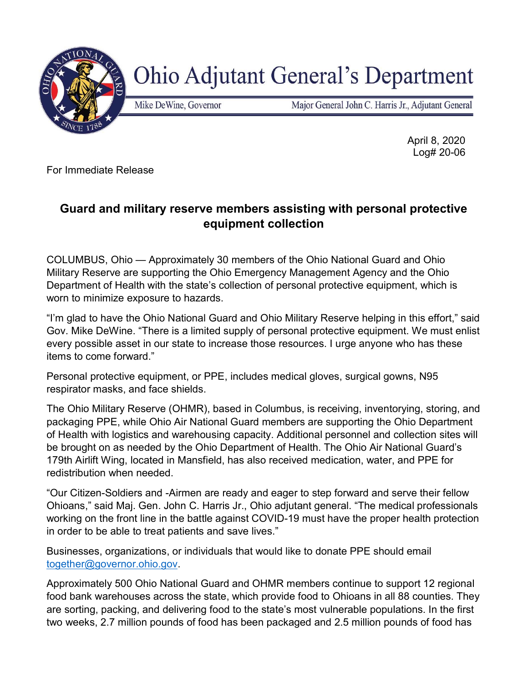

## **Ohio Adjutant General's Department**

Mike DeWine, Governor

Major General John C. Harris Jr., Adjutant General

 April 8, 2020 Log# 20-06

For Immediate Release

## Guard and military reserve members assisting with personal protective equipment collection

COLUMBUS, Ohio — Approximately 30 members of the Ohio National Guard and Ohio Military Reserve are supporting the Ohio Emergency Management Agency and the Ohio Department of Health with the state's collection of personal protective equipment, which is worn to minimize exposure to hazards.

"I'm glad to have the Ohio National Guard and Ohio Military Reserve helping in this effort," said Gov. Mike DeWine. "There is a limited supply of personal protective equipment. We must enlist every possible asset in our state to increase those resources. I urge anyone who has these items to come forward."

Personal protective equipment, or PPE, includes medical gloves, surgical gowns, N95 respirator masks, and face shields.

The Ohio Military Reserve (OHMR), based in Columbus, is receiving, inventorying, storing, and packaging PPE, while Ohio Air National Guard members are supporting the Ohio Department of Health with logistics and warehousing capacity. Additional personnel and collection sites will be brought on as needed by the Ohio Department of Health. The Ohio Air National Guard's 179th Airlift Wing, located in Mansfield, has also received medication, water, and PPE for redistribution when needed.

"Our Citizen-Soldiers and -Airmen are ready and eager to step forward and serve their fellow Ohioans," said Maj. Gen. John C. Harris Jr., Ohio adjutant general. "The medical professionals working on the front line in the battle against COVID-19 must have the proper health protection in order to be able to treat patients and save lives."

Businesses, organizations, or individuals that would like to donate PPE should email together@governor.ohio.gov.

Approximately 500 Ohio National Guard and OHMR members continue to support 12 regional food bank warehouses across the state, which provide food to Ohioans in all 88 counties. They are sorting, packing, and delivering food to the state's most vulnerable populations. In the first two weeks, 2.7 million pounds of food has been packaged and 2.5 million pounds of food has